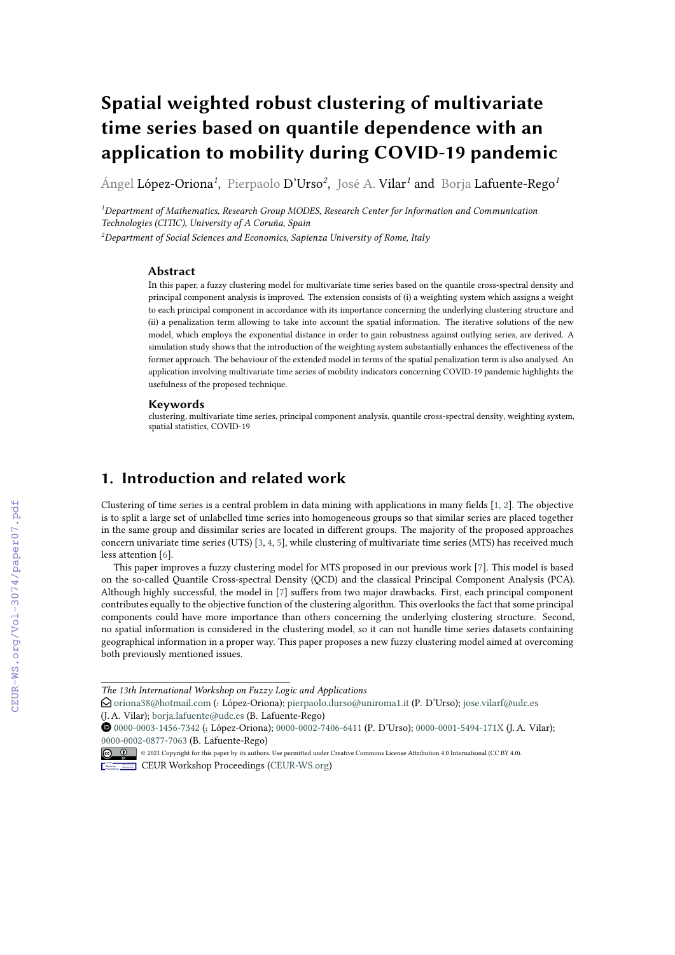# **Spatial weighted robust clustering of multivariate time series based on quantile dependence with an application to mobility during COVID-19 pandemic**

Ángel López-Oriona*<sup>1</sup>* , Pierpaolo D'Urso*<sup>2</sup>* , José A. Vilar*<sup>1</sup>* and Borja Lafuente-Rego*<sup>1</sup>*

*<sup>1</sup>Department of Mathematics, Research Group MODES, Research Center for Information and Communication Technologies (CITIC), University of A Coruña, Spain*

*<sup>2</sup>Department of Social Sciences and Economics, Sapienza University of Rome, Italy*

### **Abstract**

In this paper, a fuzzy clustering model for multivariate time series based on the quantile cross-spectral density and principal component analysis is improved. The extension consists of (i) a weighting system which assigns a weight to each principal component in accordance with its importance concerning the underlying clustering structure and (ii) a penalization term allowing to take into account the spatial information. The iterative solutions of the new model, which employs the exponential distance in order to gain robustness against outlying series, are derived. A simulation study shows that the introduction of the weighting system substantially enhances the effectiveness of the former approach. The behaviour of the extended model in terms of the spatial penalization term is also analysed. An application involving multivariate time series of mobility indicators concerning COVID-19 pandemic highlights the usefulness of the proposed technique.

#### **Keywords**

clustering, multivariate time series, principal component analysis, quantile cross-spectral density, weighting system, spatial statistics, COVID-19

## **1. Introduction and related work**

Clustering of time series is a central problem in data mining with applications in many fields [\[1,](#page--1-0) [2\]](#page--1-1). The objective is to split a large set of unlabelled time series into homogeneous groups so that similar series are placed together in the same group and dissimilar series are located in different groups. The majority of the proposed approaches concern univariate time series (UTS) [\[3,](#page--1-2) [4,](#page--1-3) [5\]](#page--1-4), while clustering of multivariate time series (MTS) has received much less attention [\[6\]](#page--1-5).

This paper improves a fuzzy clustering model for MTS proposed in our previous work [\[7\]](#page--1-6). This model is based on the so-called Quantile Cross-spectral Density (QCD) and the classical Principal Component Analysis (PCA). Although highly successful, the model in [\[7\]](#page--1-6) suffers from two major drawbacks. First, each principal component contributes equally to the objective function of the clustering algorithm. This overlooks the fact that some principal components could have more importance than others concerning the underlying clustering structure. Second, no spatial information is considered in the clustering model, so it can not handle time series datasets containing geographical information in a proper way. This paper proposes a new fuzzy clustering model aimed at overcoming both previously mentioned issues.

**CEUR Workshop [Proceedings](http://ceur-ws.org) [\(CEUR-WS.org\)](http://ceur-ws.org)** 

*The 13th International Workshop on Fuzzy Logic and Applications*

 $\bigcirc$ [oriona38@hotmail.com](mailto:oriona38@hotmail.com) (: López-Oriona); [pierpaolo.durso@uniroma1.it](mailto:pierpaolo.durso@uniroma1.it) (P. D'Urso); [jose.vilarf@udc.es](mailto:jose.vilarf@udc.es) (J. A. Vilar); [borja.lafuente@udc.es](mailto:borja.lafuente@udc.es) (B. Lafuente-Rego)

**<sup>1</sup>** [0000-0003-1456-7342](https://orcid.org/0000-0003-1456-7342) (: López-Oriona); [0000-0002-7406-6411](https://orcid.org/0000-0002-7406-6411) (P. D'Urso); [0000-0001-5494-171X](https://orcid.org/0000-0001-5494-171X) (J. A. Vilar); [0000-0002-0877-7063](https://orcid.org/0000-0002-0877-7063) (B. Lafuente-Rego)

<sup>©</sup> 2021 Copyright for this paper by its authors. Use permitted under Creative Commons License Attribution 4.0 International (CC BY 4.0).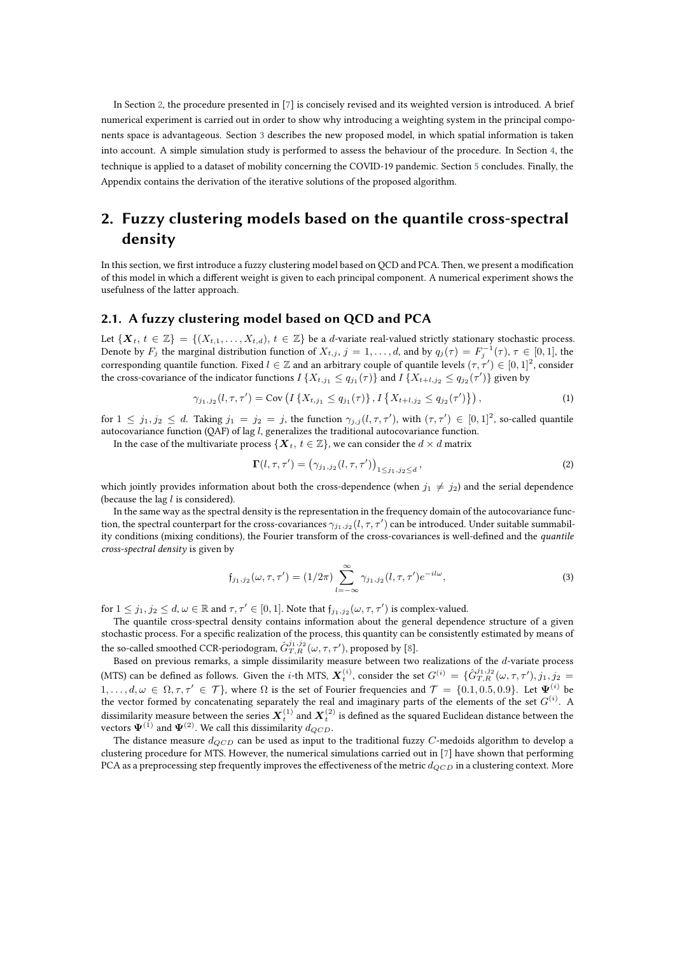In Section [2,](#page-1-0) the procedure presented in [\[7\]](#page-8-0) is concisely revised and its weighted version is introduced. A brief numerical experiment is carried out in order to show why introducing a weighting system in the principal components space is advantageous. Section [3](#page-3-0) describes the new proposed model, in which spatial information is taken into account. A simple simulation study is performed to assess the behaviour of the procedure. In Section [4,](#page-5-0) the technique is applied to a dataset of mobility concerning the COVID-19 pandemic. Section [5](#page-6-0) concludes. Finally, the Appendix contains the derivation of the iterative solutions of the proposed algorithm.

# <span id="page-1-0"></span>**2. Fuzzy clustering models based on the quantile cross-spectral density**

In this section, we first introduce a fuzzy clustering model based on QCD and PCA. Then, we present a modification of this model in which a different weight is given to each principal component. A numerical experiment shows the usefulness of the latter approach.

### **2.1. A fuzzy clustering model based on QCD and PCA**

Let  $\{X_t, t \in \mathbb{Z}\} = \{(X_{t,1}, \ldots, X_{t,d}), t \in \mathbb{Z}\}$  be a *d*-variate real-valued strictly stationary stochastic process. Denote by  $F_j$  the marginal distribution function of  $X_{t,j}$ ,  $j = 1, \ldots, d$ , and by  $q_j(\tau) = F_j^{-1}(\tau)$ ,  $\tau \in [0,1]$ , the corresponding quantile function. Fixed  $l\in\mathbb{Z}$  and an arbitrary couple of quantile levels  $(\tau,\tau')\in[0,1]^2$ , consider the cross-covariance of the indicator functions  $I\{X_{t,j_1}\leq q_{j_1}(\tau)\}$  and  $I\{X_{t+l,j_2}\leq q_{j_2}(\tau')\}$  given by

$$
\gamma_{j_1,j_2}(l,\tau,\tau') = \text{Cov}\left(I\left\{X_{t,j_1} \le q_{j_1}(\tau)\right\}, I\left\{X_{t+l,j_2} \le q_{j_2}(\tau')\right\}\right),\tag{1}
$$

for  $1 \leq j_1, j_2 \leq d$ . Taking  $j_1 = j_2 = j$ , the function  $\gamma_{j,j}(l, \tau, \tau')$ , with  $(\tau, \tau') \in [0, 1]^2$ , so-called quantile autocovariance function (QAF) of lag  $l$ , generalizes the traditional autocovariance function.

In the case of the multivariate process  $\{ \boldsymbol{X}_t, t \in \mathbb{Z} \}$ , we can consider the  $d \times d$  matrix

$$
\Gamma(l,\tau,\tau') = \left(\gamma_{j_1,j_2}(l,\tau,\tau')\right)_{1 \leq j_1,j_2 \leq d},\tag{2}
$$

which jointly provides information about both the cross-dependence (when  $j_1 \neq j_2$ ) and the serial dependence (because the lag  $l$  is considered).

In the same way as the spectral density is the representation in the frequency domain of the autocovariance function, the spectral counterpart for the cross-covariances  $\gamma_{j_1,j_2}(l,\tau,\tau')$  can be introduced. Under suitable summability conditions (mixing conditions), the Fourier transform of the cross-covariances is well-defined and the *quantile cross-spectral density* is given by

$$
\mathfrak{f}_{j_1,j_2}(\omega,\tau,\tau') = (1/2\pi) \sum_{l=-\infty}^{\infty} \gamma_{j_1,j_2}(l,\tau,\tau') e^{-il\omega},\tag{3}
$$

for  $1 \leq j_1, j_2 \leq d, \omega \in \mathbb{R}$  and  $\tau, \tau' \in [0, 1]$ . Note that  $\mathfrak{f}_{j_1, j_2}(\omega, \tau, \tau')$  is complex-valued.

The quantile cross-spectral density contains information about the general dependence structure of a given stochastic process. For a specific realization of the process, this quantity can be consistently estimated by means of the so-called smoothed CCR-periodogram,  $\hat G^{j_1, j_2}_{T,R} (\omega, \tau, \tau'),$  proposed by [\[8\]](#page-8-1).

Based on previous remarks, a simple dissimilarity measure between two realizations of the  $d$ -variate process (MTS) can be defined as follows. Given the *i*-th MTS,  $\boldsymbol{X}_t^{(i)}$ , consider the set  $G^{(i)} = \{\hat{G}_{T,R}^{j_1,j_2}(\omega,\tau,\tau'), j_1, j_2 =$  $1,\ldots,d,\omega \in \Omega, \tau, \tau' \in \mathcal{T} \},$  where  $\Omega$  is the set of Fourier frequencies and  $\mathcal{T} = \{0.1,0.5,0.9\}$ . Let  $\mathbf{\Psi}^{(i)}$  be the vector formed by concatenating separately the real and imaginary parts of the elements of the set  $G^{(i)}$ . A dissimilarity measure between the series  $X_t^{(1)}$  and  $X_t^{(2)}$  is defined as the squared Euclidean distance between the vectors  $\Psi^{(1)}$  and  $\Psi^{(2)}$ . We call this dissimilarity  $d_{QCD}$ .

The distance measure  $d_{QCD}$  can be used as input to the traditional fuzzy C-medoids algorithm to develop a clustering procedure for MTS. However, the numerical simulations carried out in [\[7\]](#page-8-0) have shown that performing PCA as a preprocessing step frequently improves the effectiveness of the metric  $d_{QCD}$  in a clustering context. More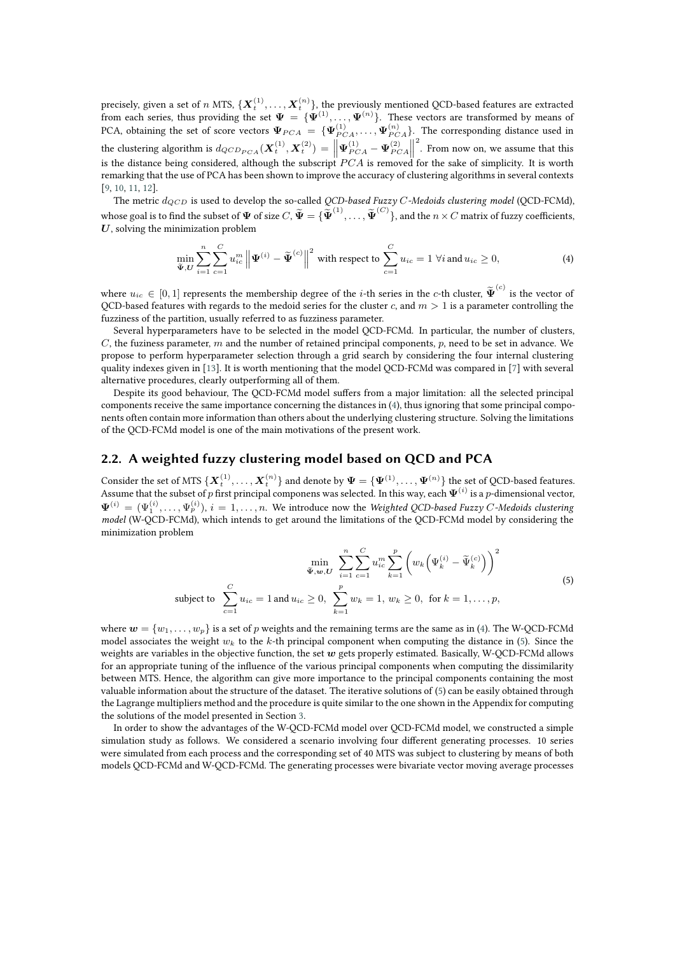precisely, given a set of  $n$  MTS,  $\{\bm X^{(1)}_t,\ldots,\bm X^{(n)}_t\}$ , the previously mentioned QCD-based features are extracted from each series, thus providing the set  $\Psi\,=\,\{\Psi^{(1)},\ldots,\Psi^{(n)}\}.$  These vectors are transformed by means of PCA, obtaining the set of score vectors  $\Psi_{PCA} = \{ \Psi_{PCA}^{(1)}, \dots, \Psi_{PCA}^{(n)} \}$ . The corresponding distance used in the clustering algorithm is  $d_{QCD_{PCA}}(\mathbf{X}_{t}^{(1)}, \mathbf{X}_{t}^{(2)}) = \left\| \Psi_{PCA}^{(1)} - \Psi_{PCA}^{(2)} \right\|$ 2 . From now on, we assume that this is the distance being considered, although the subscript  $PCA$  is removed for the sake of simplicity. It is worth remarking that the use of PCA has been shown to improve the accuracy of clustering algorithms in several contexts [\[9,](#page-8-2) [10,](#page-8-3) [11,](#page-8-4) [12\]](#page-8-5).

The metric  $d_{QCD}$  is used to develop the so-called *QCD-based Fuzzy C-Medoids clustering model* (QCD-FCMd), whose goal is to find the subset of  $\Psi$  of size  $C, \widetilde{\Psi} = \{\widetilde{\Psi}^{(1)}, \ldots, \widetilde{\Psi}^{(C)}\},$  and the  $n \times C$  matrix of fuzzy coefficients,  $U$ , solving the minimization problem

<span id="page-2-0"></span>
$$
\min_{\widetilde{\Psi},U} \sum_{i=1}^{n} \sum_{c=1}^{C} u_{ic}^{m} \left\| \Psi^{(i)} - \widetilde{\Psi}^{(c)} \right\|^{2} \text{ with respect to } \sum_{c=1}^{C} u_{ic} = 1 \,\,\forall i \text{ and } u_{ic} \ge 0,
$$
\n
$$
\tag{4}
$$

where  $u_{ic} \in [0,1]$  represents the membership degree of the *i*-th series in the *c*-th cluster,  $\widetilde{\Psi}^{(c)}$  is the vector of QCD-based features with regards to the medoid series for the cluster c, and  $m > 1$  is a parameter controlling the fuzziness of the partition, usually referred to as fuzziness parameter.

Several hyperparameters have to be selected in the model QCD-FCMd. In particular, the number of clusters,  $C$ , the fuziness parameter,  $m$  and the number of retained principal components,  $p$ , need to be set in advance. We propose to perform hyperparameter selection through a grid search by considering the four internal clustering quality indexes given in [\[13\]](#page-8-6). It is worth mentioning that the model QCD-FCMd was compared in [\[7\]](#page-8-0) with several alternative procedures, clearly outperforming all of them.

Despite its good behaviour, The QCD-FCMd model suffers from a major limitation: all the selected principal components receive the same importance concerning the distances in [\(4\)](#page-2-0), thus ignoring that some principal components often contain more information than others about the underlying clustering structure. Solving the limitations of the QCD-FCMd model is one of the main motivations of the present work.

### **2.2. A weighted fuzzy clustering model based on QCD and PCA**

Consider the set of MTS  $\{\boldsymbol{X}^{(1)}_t,\ldots,\boldsymbol{X}^{(n)}_t\}$  and denote by  $\boldsymbol{\Psi}=\{\boldsymbol{\Psi}^{(1)},\ldots,\boldsymbol{\Psi}^{(n)}\}$  the set of QCD-based features. Assume that the subset of  $p$  first principal componens was selected. In this way, each  $\bm\Psi^{(i)}$  is a  $p$ -dimensional vector,  $\Psi^{(i)} = (\Psi_1^{(i)}, \dots, \Psi_p^{(i)}), i = 1, \dots, n$ . We introduce now the *Weighted QCD-based Fuzzy C-Medoids clustering model* (W-QCD-FCMd), which intends to get around the limitations of the QCD-FCMd model by considering the minimization problem

<span id="page-2-1"></span>
$$
\min_{\tilde{\Psi}, w, U} \sum_{i=1}^{n} \sum_{c=1}^{C} u_{ic}^{m} \sum_{k=1}^{p} \left( w_{k} \left( \Psi_{k}^{(i)} - \tilde{\Psi}_{k}^{(c)} \right) \right)^{2}
$$
\nsubject to 
$$
\sum_{c=1}^{C} u_{ic} = 1 \text{ and } u_{ic} \ge 0, \sum_{k=1}^{p} w_{k} = 1, w_{k} \ge 0, \text{ for } k = 1, ..., p,
$$
\n(5)

where  $w = \{w_1, \ldots, w_n\}$  is a set of p weights and the remaining terms are the same as in [\(4\)](#page-2-0). The W-QCD-FCMd model associates the weight  $w_k$  to the k-th principal component when computing the distance in [\(5\)](#page-2-1). Since the weights are variables in the objective function, the set  $w$  gets properly estimated. Basically, W-QCD-FCMd allows for an appropriate tuning of the influence of the various principal components when computing the dissimilarity between MTS. Hence, the algorithm can give more importance to the principal components containing the most valuable information about the structure of the dataset. The iterative solutions of [\(5\)](#page-2-1) can be easily obtained through the Lagrange multipliers method and the procedure is quite similar to the one shown in the Appendix for computing the solutions of the model presented in Section [3.](#page-3-0)

In order to show the advantages of the W-QCD-FCMd model over QCD-FCMd model, we constructed a simple simulation study as follows. We considered a scenario involving four different generating processes. 10 series were simulated from each process and the corresponding set of 40 MTS was subject to clustering by means of both models QCD-FCMd and W-QCD-FCMd. The generating processes were bivariate vector moving average processes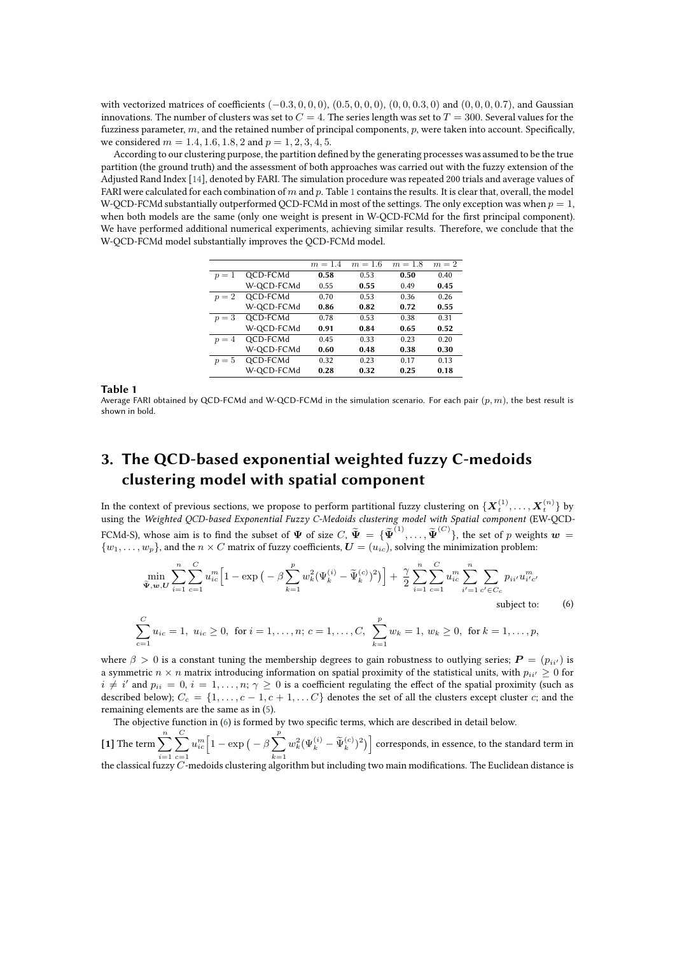with vectorized matrices of coefficients  $(-0.3, 0, 0, 0)$ ,  $(0.5, 0, 0, 0)$ ,  $(0, 0, 0.3, 0)$  and  $(0, 0, 0, 0.7)$ , and Gaussian innovations. The number of clusters was set to  $C = 4$ . The series length was set to  $T = 300$ . Several values for the fuzziness parameter,  $m$ , and the retained number of principal components,  $p$ , were taken into account. Specifically, we considered  $m = 1.4, 1.6, 1.8, 2$  and  $p = 1, 2, 3, 4, 5$ .

According to our clustering purpose, the partition defined by the generating processes was assumed to be the true partition (the ground truth) and the assessment of both approaches was carried out with the fuzzy extension of the Adjusted Rand Index [\[14\]](#page-8-7), denoted by FARI. The simulation procedure was repeated 200 trials and average values of FARI were calculated for each combination of  $m$  and  $p$ . Table [1](#page-3-1) contains the results. It is clear that, overall, the model W-OCD-FCMd substantially outperformed OCD-FCMd in most of the settings. The only exception was when  $p = 1$ , when both models are the same (only one weight is present in W-QCD-FCMd for the first principal component). We have performed additional numerical experiments, achieving similar results. Therefore, we conclude that the W-QCD-FCMd model substantially improves the QCD-FCMd model.

<span id="page-3-1"></span>

|       |            | $m = 1.4$ | $m=1.6$ | $m=1.8$ | $m=2$ |
|-------|------------|-----------|---------|---------|-------|
| $p=1$ | QCD-FCMd   | 0.58      | 0.53    | 0.50    | 0.40  |
|       | W-QCD-FCMd | 0.55      | 0.55    | 0.49    | 0.45  |
| $p=2$ | QCD-FCMd   | 0.70      | 0.53    | 0.36    | 0.26  |
|       | W-QCD-FCMd | 0.86      | 0.82    | 0.72    | 0.55  |
| $p=3$ | QCD-FCMd   | 0.78      | 0.53    | 0.38    | 0.31  |
|       | W-QCD-FCMd | 0.91      | 0.84    | 0.65    | 0.52  |
| $p=4$ | QCD-FCMd   | 0.45      | 0.33    | 0.23    | 0.20  |
|       | W-QCD-FCMd | 0.60      | 0.48    | 0.38    | 0.30  |
| $p=5$ | QCD-FCMd   | 0.32      | 0.23    | 0.17    | 0.13  |
|       | W-QCD-FCMd | 0.28      | 0.32    | 0.25    | 0.18  |

**Table 1**

Average FARI obtained by QCD-FCMd and W-QCD-FCMd in the simulation scenario. For each pair  $(p, m)$ , the best result is shown in bold.

# <span id="page-3-0"></span>**3. The QCD-based exponential weighted fuzzy C-medoids clustering model with spatial component**

In the context of previous sections, we propose to perform partitional fuzzy clustering on  $\{\pmb{X}_t^{(1)},\dots,\pmb{X}_t^{(n)}\}$  by using the *Weighted QCD-based Exponential Fuzzy C-Medoids clustering model with Spatial component* (EW-QCD-FCMd-S), whose aim is to find the subset of  $\Psi$  of size  $C, \widetilde{\Psi} = {\{\widetilde{\Psi}^{(1)}, \ldots, \widetilde{\Psi}^{(C)}\}}$ , the set of p weights  $w =$  $\{w_1, \ldots, w_p\}$ , and the  $n \times C$  matrix of fuzzy coefficients,  $\bm{U} = (u_{ic})$ , solving the minimization problem:

$$
\min_{\tilde{\Psi}, \mathbf{w}, U} \sum_{i=1}^{n} \sum_{c=1}^{C} u_{ic}^{m} \Big[ 1 - \exp \big( - \beta \sum_{k=1}^{p} w_{k}^{2} (\Psi_{k}^{(i)} - \tilde{\Psi}_{k}^{(c)})^{2} \big) \Big] + \frac{\gamma}{2} \sum_{i=1}^{n} \sum_{c=1}^{C} u_{ic}^{m} \sum_{i'=1}^{n} \sum_{c' \in C_{c}} p_{ii'} u_{i'c'}^{m}
$$
\nsubject to:

\n(6)

<span id="page-3-2"></span>
$$
\sum_{c=1}^{C} u_{ic} = 1, \ u_{ic} \ge 0, \text{ for } i = 1, ..., n; c = 1, ..., C, \ \sum_{k=1}^{p} w_k = 1, \ w_k \ge 0, \text{ for } k = 1, ..., p,
$$

where  $\beta > 0$  is a constant tuning the membership degrees to gain robustness to outlying series;  $P = (p_{ii'})$  is a symmetric  $n \times n$  matrix introducing information on spatial proximity of the statistical units, with  $p_{ii'} \geq 0$  for  $i \neq i'$  and  $p_{ii} = 0$ ,  $i = 1, ..., n; \gamma \geq 0$  is a coefficient regulating the effect of the spatial proximity (such as described below);  $C_c = \{1, \ldots, c-1, c+1, \ldots C\}$  denotes the set of all the clusters except cluster c; and the remaining elements are the same as in [\(5\)](#page-2-1).

The objective function in [\(6\)](#page-3-2) is formed by two specific terms, which are described in detail below.

**[1]** The term  $\sum_{n=1}^{\infty}$  $i=1$  $\sum_{i=1}^{n}$  $_{c=1}$  $u_{ic}^{m} \left[1 - \exp \left(-\beta \sum_{i=1}^{p} \right)\right]$  $k=1$  $w_k^2(\Psi_k^{(i)}-\widetilde{\Psi}_k^{(c)})^2\big)\Big]$  corresponds, in essence, to the standard term in the classical fuzzy  $\overline{C}$ -medoids clustering algorithm but including two main modifications. The Euclidean distance is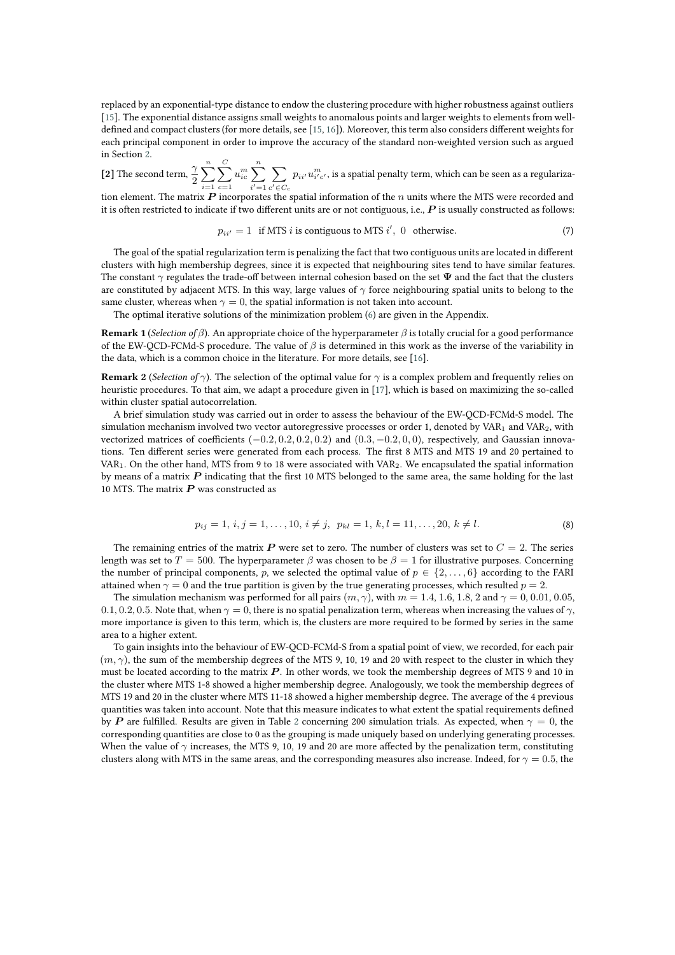replaced by an exponential-type distance to endow the clustering procedure with higher robustness against outliers [\[15\]](#page-8-8). The exponential distance assigns small weights to anomalous points and larger weights to elements from welldefined and compact clusters (for more details, see [\[15,](#page-8-8) [16\]](#page-8-9)). Moreover, this term also considers different weights for each principal component in order to improve the accuracy of the standard non-weighted version such as argued in Section [2.](#page-1-0)

**[2]** The second term,  $\frac{\gamma}{2}$  $\sum_{n=1}^{\infty}$  $i=1$  $\sum$  $c=1$  $u_{ic}^m$   $\sum_{i=1}^n$  $i'=1$ ∑︁  $c^\prime \!\in\! C_c$  $p_{ii^{\prime}} u_{i^{\prime}c^{\prime}}^m$  , is a spatial penalty term, which can be seen as a regulariza-

tion element. The matrix  $P$  incorporates the spatial information of the  $n$  units where the MTS were recorded and it is often restricted to indicate if two different units are or not contiguous, i.e.,  $P$  is usually constructed as follows:

$$
p_{ii'} = 1 \text{ if MTS } i \text{ is contiguous to MTS } i', \ 0 \text{ otherwise.} \tag{7}
$$

The goal of the spatial regularization term is penalizing the fact that two contiguous units are located in different clusters with high membership degrees, since it is expected that neighbouring sites tend to have similar features. The constant  $\gamma$  regulates the trade-off between internal cohesion based on the set  $\Psi$  and the fact that the clusters are constituted by adjacent MTS. In this way, large values of  $\gamma$  force neighbouring spatial units to belong to the same cluster, whereas when  $\gamma = 0$ , the spatial information is not taken into account.

The optimal iterative solutions of the minimization problem [\(6\)](#page-3-2) are given in the Appendix.

**Remark 1** (*Selection of*  $\beta$ ). An appropriate choice of the hyperparameter  $\beta$  is totally crucial for a good performance of the EW-QCD-FCMd-S procedure. The value of  $\beta$  is determined in this work as the inverse of the variability in the data, which is a common choice in the literature. For more details, see [\[16\]](#page-8-9).

**Remark 2** (*Selection of*  $\gamma$ ). The selection of the optimal value for  $\gamma$  is a complex problem and frequently relies on heuristic procedures. To that aim, we adapt a procedure given in [\[17\]](#page-8-10), which is based on maximizing the so-called within cluster spatial autocorrelation.

A brief simulation study was carried out in order to assess the behaviour of the EW-QCD-FCMd-S model. The simulation mechanism involved two vector autoregressive processes or order 1, denoted by VAR<sub>1</sub> and VAR<sub>2</sub>, with vectorized matrices of coefficients  $(-0.2, 0.2, 0.2, 0.2)$  and  $(0.3, -0.2, 0, 0)$ , respectively, and Gaussian innovations. Ten different series were generated from each process. The first 8 MTS and MTS 19 and 20 pertained to VAR<sub>1</sub>. On the other hand, MTS from 9 to 18 were associated with VAR<sub>2</sub>. We encapsulated the spatial information by means of a matrix  $P$  indicating that the first 10 MTS belonged to the same area, the same holding for the last 10 MTS. The matrix  $P$  was constructed as

$$
p_{ij} = 1, i, j = 1, \dots, 10, i \neq j, \ p_{kl} = 1, k, l = 11, \dots, 20, k \neq l.
$$
\n
$$
(8)
$$

The remaining entries of the matrix  $\bm{P}$  were set to zero. The number of clusters was set to  $C=2$ . The series length was set to  $T = 500$ . The hyperparameter  $\beta$  was chosen to be  $\beta = 1$  for illustrative purposes. Concerning the number of principal components, p, we selected the optimal value of  $p \in \{2, \ldots, 6\}$  according to the FARI attained when  $\gamma = 0$  and the true partition is given by the true generating processes, which resulted  $p = 2$ .

The simulation mechanism was performed for all pairs  $(m, \gamma)$ , with  $m = 1.4, 1.6, 1.8, 2$  and  $\gamma = 0, 0.01, 0.05$ , 0.1, 0.2, 0.5. Note that, when  $\gamma = 0$ , there is no spatial penalization term, whereas when increasing the values of  $\gamma$ , more importance is given to this term, which is, the clusters are more required to be formed by series in the same area to a higher extent.

To gain insights into the behaviour of EW-QCD-FCMd-S from a spatial point of view, we recorded, for each pair  $(m, \gamma)$ , the sum of the membership degrees of the MTS 9, 10, 19 and 20 with respect to the cluster in which they must be located according to the matrix  $P$ . In other words, we took the membership degrees of MTS 9 and 10 in the cluster where MTS 1-8 showed a higher membership degree. Analogously, we took the membership degrees of MTS 19 and 20 in the cluster where MTS 11-18 showed a higher membership degree. The average of the 4 previous quantities was taken into account. Note that this measure indicates to what extent the spatial requirements defined by P are fulfilled. Results are given in Table [2](#page-5-1) concerning 200 simulation trials. As expected, when  $\gamma = 0$ , the corresponding quantities are close to 0 as the grouping is made uniquely based on underlying generating processes. When the value of  $\gamma$  increases, the MTS 9, 10, 19 and 20 are more affected by the penalization term, constituting clusters along with MTS in the same areas, and the corresponding measures also increase. Indeed, for  $\gamma = 0.5$ , the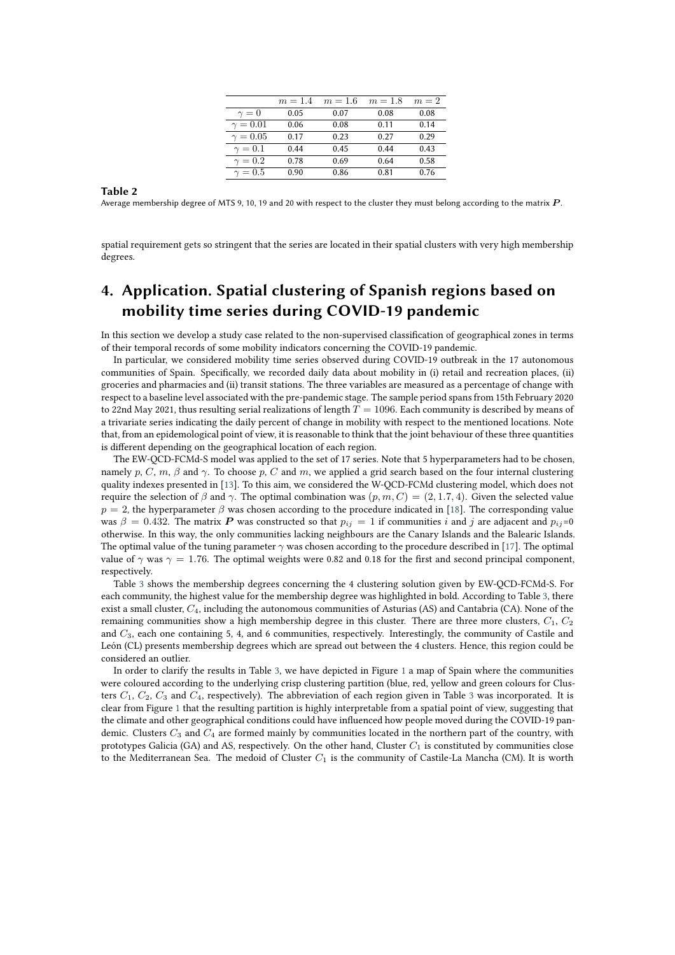<span id="page-5-1"></span>

|                 | $m = 1.4$ | $m=1.6$ | $m=1.8$ | $m=2$ |
|-----------------|-----------|---------|---------|-------|
| $\gamma=0$      | 0.05      | 0.07    | 0.08    | 0.08  |
| $\gamma = 0.01$ | 0.06      | 0.08    | 0.11    | 0.14  |
| $\gamma = 0.05$ | 0.17      | 0.23    | 0.27    | 0.29  |
| $\gamma=0.1$    | 0.44      | 0.45    | 0.44    | 0.43  |
| $\gamma=0.2$    | 0.78      | 0.69    | 0.64    | 0.58  |
| $\gamma=0.5$    | 0.90      | 0.86    | 0.81    | 0.76  |
|                 |           |         |         |       |

#### **Table 2**

Average membership degree of MTS 9, 10, 19 and 20 with respect to the cluster they must belong according to the matrix  $P$ .

spatial requirement gets so stringent that the series are located in their spatial clusters with very high membership degrees.

# <span id="page-5-0"></span>**4. Application. Spatial clustering of Spanish regions based on mobility time series during COVID-19 pandemic**

In this section we develop a study case related to the non-supervised classification of geographical zones in terms of their temporal records of some mobility indicators concerning the COVID-19 pandemic.

In particular, we considered mobility time series observed during COVID-19 outbreak in the 17 autonomous communities of Spain. Specifically, we recorded daily data about mobility in (i) retail and recreation places, (ii) groceries and pharmacies and (ii) transit stations. The three variables are measured as a percentage of change with respect to a baseline level associated with the pre-pandemic stage. The sample period spans from 15th February 2020 to 22nd May 2021, thus resulting serial realizations of length  $T = 1096$ . Each community is described by means of a trivariate series indicating the daily percent of change in mobility with respect to the mentioned locations. Note that, from an epidemological point of view, it is reasonable to think that the joint behaviour of these three quantities is different depending on the geographical location of each region.

The EW-QCD-FCMd-S model was applied to the set of 17 series. Note that 5 hyperparameters had to be chosen, namely p, C, m,  $\beta$  and  $\gamma$ . To choose p, C and m, we applied a grid search based on the four internal clustering quality indexes presented in [\[13\]](#page-8-6). To this aim, we considered the W-QCD-FCMd clustering model, which does not require the selection of  $\beta$  and  $\gamma$ . The optimal combination was  $(p, m, C) = (2, 1.7, 4)$ . Given the selected value  $p = 2$ , the hyperparameter  $\beta$  was chosen according to the procedure indicated in [\[18\]](#page-8-11). The corresponding value was  $\beta = 0.432$ . The matrix P was constructed so that  $p_{ij} = 1$  if communities i and j are adjacent and  $p_{ij} = 0$ otherwise. In this way, the only communities lacking neighbours are the Canary Islands and the Balearic Islands. The optimal value of the tuning parameter  $\gamma$  was chosen according to the procedure described in [\[17\]](#page-8-10). The optimal value of  $\gamma$  was  $\gamma = 1.76$ . The optimal weights were 0.82 and 0.18 for the first and second principal component, respectively.

Table [3](#page-6-1) shows the membership degrees concerning the 4 clustering solution given by EW-QCD-FCMd-S. For each community, the highest value for the membership degree was highlighted in bold. According to Table [3,](#page-6-1) there exist a small cluster,  $C_4$ , including the autonomous communities of Asturias (AS) and Cantabria (CA). None of the remaining communities show a high membership degree in this cluster. There are three more clusters,  $C_1$ ,  $C_2$ and 3, each one containing 5, 4, and 6 communities, respectively. Interestingly, the community of Castile and León (CL) presents membership degrees which are spread out between the 4 clusters. Hence, this region could be considered an outlier.

In order to clarify the results in Table [3,](#page-6-1) we have depicted in Figure [1](#page-6-2) a map of Spain where the communities were coloured according to the underlying crisp clustering partition (blue, red, yellow and green colours for Clusters  $C_1$ ,  $C_2$ ,  $C_3$  $C_3$  and  $C_4$ , respectively). The abbreviation of each region given in Table 3 was incorporated. It is clear from Figure [1](#page-6-2) that the resulting partition is highly interpretable from a spatial point of view, suggesting that the climate and other geographical conditions could have influenced how people moved during the COVID-19 pandemic. Clusters  $C_3$  and  $C_4$  are formed mainly by communities located in the northern part of the country, with prototypes Galicia (GA) and AS, respectively. On the other hand, Cluster  $C_1$  is constituted by communities close to the Mediterranean Sea. The medoid of Cluster  $C_1$  is the community of Castile-La Mancha (CM). It is worth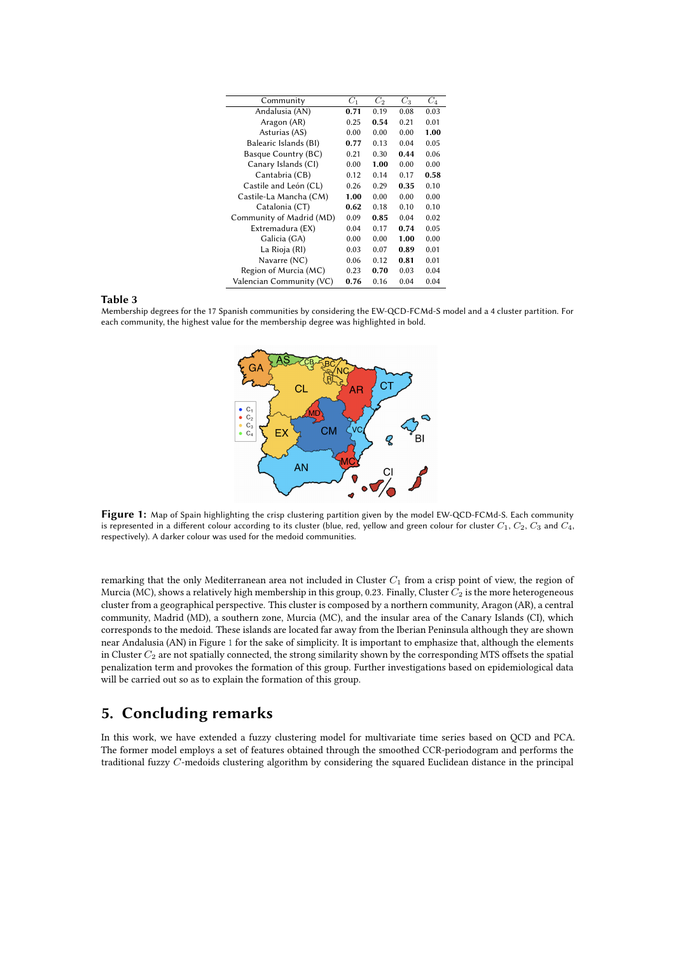<span id="page-6-1"></span>

| $C_1$ | $C_2$ | $C_3$ | $C_4$ |
|-------|-------|-------|-------|
| 0.71  | 0.19  | 0.08  | 0.03  |
| 0.25  | 0.54  | 0.21  | 0.01  |
| 0.00  | 0.00  | 0.00  | 1.00  |
| 0.77  | 0.13  | 0.04  | 0.05  |
| 0.21  | 0.30  | 0.44  | 0.06  |
| 0.00  | 1.00  | 0.00  | 0.00  |
| 0.12  | 0.14  | 0.17  | 0.58  |
| 0.26  | 0.29  | 0.35  | 0.10  |
| 1.00  | 0.00  | 0.00  | 0.00  |
| 0.62  | 0.18  | 0.10  | 0.10  |
| 0.09  | 0.85  | 0.04  | 0.02  |
| 0.04  | 0.17  | 0.74  | 0.05  |
| 0.00  | 0.00  | 1.00  | 0.00  |
| 0.03  | 0.07  | 0.89  | 0.01  |
| 0.06  | 0.12  | 0.81  | 0.01  |
| 0.23  | 0.70  | 0.03  | 0.04  |
| 0.76  | 0.16  | 0.04  | 0.04  |
|       |       |       |       |

#### **Table 3**

Membership degrees for the 17 Spanish communities by considering the EW-QCD-FCMd-S model and a 4 cluster partition. For each community, the highest value for the membership degree was highlighted in bold.

<span id="page-6-2"></span>

**Figure 1:** Map of Spain highlighting the crisp clustering partition given by the model EW-QCD-FCMd-S. Each community is represented in a different colour according to its cluster (blue, red, yellow and green colour for cluster  $C_1$ ,  $C_2$ ,  $C_3$  and  $C_4$ , respectively). A darker colour was used for the medoid communities.

remarking that the only Mediterranean area not included in Cluster  $C_1$  from a crisp point of view, the region of Murcia (MC), shows a relatively high membership in this group, 0.23. Finally, Cluster  $C_2$  is the more heterogeneous cluster from a geographical perspective. This cluster is composed by a northern community, Aragon (AR), a central community, Madrid (MD), a southern zone, Murcia (MC), and the insular area of the Canary Islands (CI), which corresponds to the medoid. These islands are located far away from the Iberian Peninsula although they are shown near Andalusia (AN) in Figure [1](#page-6-2) for the sake of simplicity. It is important to emphasize that, although the elements in Cluster  $C_2$  are not spatially connected, the strong similarity shown by the corresponding MTS offsets the spatial penalization term and provokes the formation of this group. Further investigations based on epidemiological data will be carried out so as to explain the formation of this group.

### <span id="page-6-0"></span>**5. Concluding remarks**

In this work, we have extended a fuzzy clustering model for multivariate time series based on QCD and PCA. The former model employs a set of features obtained through the smoothed CCR-periodogram and performs the traditional fuzzy  $C$ -medoids clustering algorithm by considering the squared Euclidean distance in the principal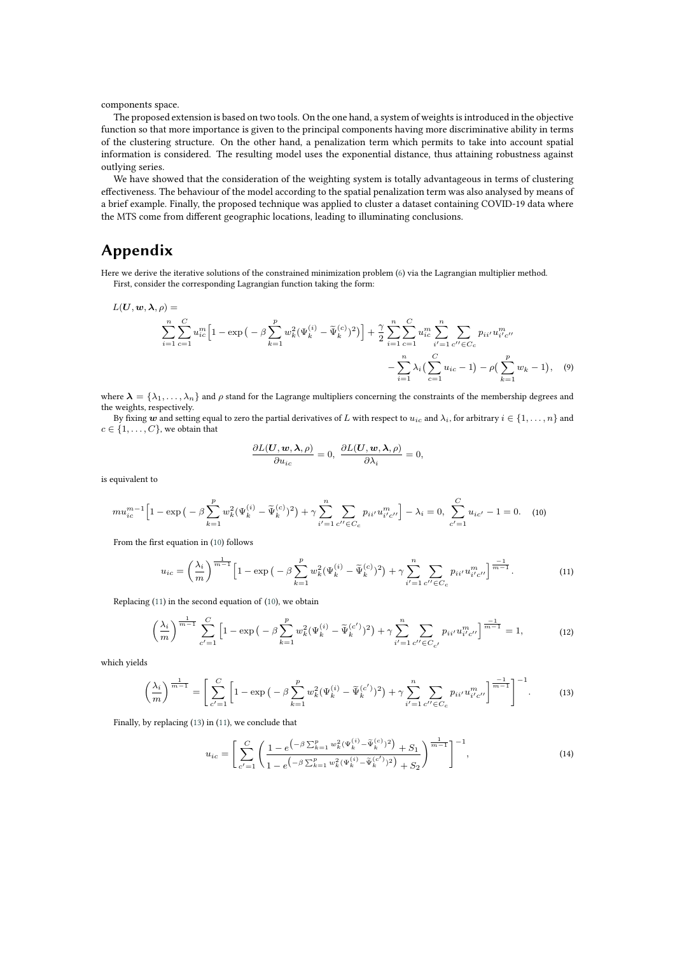components space.

The proposed extension is based on two tools. On the one hand, a system of weights is introduced in the objective function so that more importance is given to the principal components having more discriminative ability in terms of the clustering structure. On the other hand, a penalization term which permits to take into account spatial information is considered. The resulting model uses the exponential distance, thus attaining robustness against outlying series.

We have showed that the consideration of the weighting system is totally advantageous in terms of clustering effectiveness. The behaviour of the model according to the spatial penalization term was also analysed by means of a brief example. Finally, the proposed technique was applied to cluster a dataset containing COVID-19 data where the MTS come from different geographic locations, leading to illuminating conclusions.

### **Appendix**

Here we derive the iterative solutions of the constrained minimization problem [\(6\)](#page-3-2) via the Lagrangian multiplier method. First, consider the corresponding Lagrangian function taking the form:

$$
L(\mathbf{U}, \mathbf{w}, \lambda, \rho) = \sum_{i=1}^{n} \sum_{c=1}^{C} u_{ic}^{m} \Big[ 1 - \exp \big( -\beta \sum_{k=1}^{p} w_{k}^{2} (\Psi_{k}^{(i)} - \widetilde{\Psi}_{k}^{(c)})^{2} \big) \Big] + \frac{\gamma}{2} \sum_{i=1}^{n} \sum_{c=1}^{C} u_{ic}^{m} \sum_{i'=1}^{n} \sum_{c'' \in C_{c}} p_{ii'} u_{i'c''}^{m}
$$

$$
- \sum_{i=1}^{n} \lambda_{i} \Big( \sum_{c=1}^{C} u_{ic} - 1 \Big) - \rho \Big( \sum_{k=1}^{p} w_{k} - 1 \Big), \quad (9)
$$

where  $\lambda = \{\lambda_1, \ldots, \lambda_n\}$  and  $\rho$  stand for the Lagrange multipliers concerning the constraints of the membership degrees and the weights, respectively.

By fixing  $w$  and setting equal to zero the partial derivatives of L with respect to  $u_i$  and  $\lambda_i$ , for arbitrary  $i \in \{1, \ldots, n\}$  and  $c \in \{1, \ldots, C\}$ , we obtain that

<span id="page-7-0"></span>
$$
\frac{\partial L(\boldsymbol{U},\boldsymbol{w},\boldsymbol{\lambda},\rho)}{\partial u_{ic}}=0,\,\,\frac{\partial L(\boldsymbol{U},\boldsymbol{w},\boldsymbol{\lambda},\rho)}{\partial \lambda_{i}}=0,
$$

is equivalent to

$$
m u_{ic}^{m-1} \Big[ 1 - \exp \big( - \beta \sum_{k=1}^{p} w_k^2 (\Psi_k^{(i)} - \widetilde{\Psi}_k^{(c)})^2 \big) + \gamma \sum_{i'=1}^{n} \sum_{c'' \in C_c} p_{ii'} u_{i'c''}^m \Big] - \lambda_i = 0, \sum_{c'=1}^{C} u_{ic'} - 1 = 0. \tag{10}
$$

<span id="page-7-1"></span>From the first equation in [\(10\)](#page-7-0) follows

$$
u_{ic} = \left(\frac{\lambda_i}{m}\right)^{\frac{1}{m-1}} \left[1 - \exp\left(-\beta \sum_{k=1}^p w_k^2 (\Psi_k^{(i)} - \widetilde{\Psi}_k^{(c)})^2\right) + \gamma \sum_{i'=1}^n \sum_{c'' \in C_c} p_{ii'} u_{i'c''}^m \right]^{\frac{-1}{m-1}}.
$$
 (11)

Replacing [\(11\)](#page-7-1) in the second equation of [\(10\)](#page-7-0), we obtain

$$
\left(\frac{\lambda_i}{m}\right)^{\frac{1}{m-1}} \sum_{c'=1}^C \left[1 - \exp\left(-\beta \sum_{k=1}^p w_k^2 (\Psi_k^{(i)} - \widetilde{\Psi}_k^{(c')})^2\right) + \gamma \sum_{i'=1}^n \sum_{c'' \in C_{c'}} p_{ii'} u_{i'c''}^m \right]^{\frac{-1}{m-1}} = 1,\tag{12}
$$

<span id="page-7-2"></span>which yields

$$
\left(\frac{\lambda_i}{m}\right)^{\frac{1}{m-1}} = \left[\sum_{c'=1}^{C} \left[1 - \exp\left(-\beta \sum_{k=1}^{p} w_k^2 (\Psi_k^{(i)} - \widetilde{\Psi}_k^{(c')})^2\right) + \gamma \sum_{i'=1}^{n} \sum_{c'' \in C_c} p_{ii'} u_{i'c''}^m \right]^{-1}\right]^{-1}.
$$
 (13)

Finally, by replacing [\(13\)](#page-7-2) in [\(11\)](#page-7-1), we conclude that

<span id="page-7-3"></span>
$$
u_{ic} = \left[ \sum_{c'=1}^{C} \left( \frac{1 - e^{\left( -\beta \sum_{k=1}^{p} w_k^2 (\Psi_k^{(i)} - \tilde{\Psi}_k^{(c)})^2 \right)} + S_1}{1 - e^{\left( -\beta \sum_{k=1}^{p} w_k^2 (\Psi_k^{(i)} - \tilde{\Psi}_k^{(c)})^2 \right)} + S_2} \right)^{\frac{1}{m-1}} \right]^{-1},
$$
\n(14)